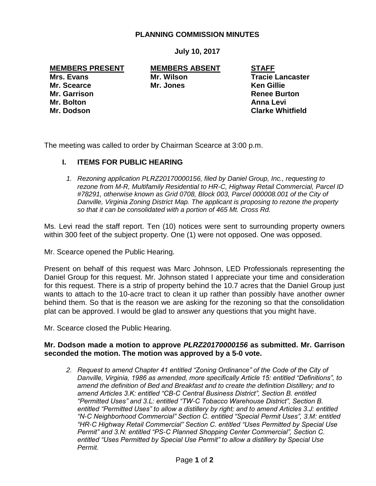## **PLANNING COMMISSION MINUTES**

**July 10, 2017**

**MEMBERS PRESENT MEMBERS ABSENT STAFF**

**Mr. Scearce Mr. Jones Ken Gillie**

**Mrs. Evans Mr. Wilson Mr. Wilson Tracie Lancaster Mr. Garrison Renee Burton Mr. Bolton Anna Levi Mr. Dodson Clarke Whitfield**

The meeting was called to order by Chairman Scearce at 3:00 p.m.

# **I. ITEMS FOR PUBLIC HEARING**

*1. Rezoning application PLRZ20170000156, filed by Daniel Group, Inc., requesting to rezone from M-R, Multifamily Residential to HR-C, Highway Retail Commercial, Parcel ID #78291, otherwise known as Grid 0708, Block 003, Parcel 000008.001 of the City of Danville, Virginia Zoning District Map. The applicant is proposing to rezone the property so that it can be consolidated with a portion of 465 Mt. Cross Rd.* 

Ms. Levi read the staff report. Ten (10) notices were sent to surrounding property owners within 300 feet of the subject property. One (1) were not opposed. One was opposed.

Mr. Scearce opened the Public Hearing.

Present on behalf of this request was Marc Johnson, LED Professionals representing the Daniel Group for this request. Mr. Johnson stated I appreciate your time and consideration for this request. There is a strip of property behind the 10.7 acres that the Daniel Group just wants to attach to the 10-acre tract to clean it up rather than possibly have another owner behind them. So that is the reason we are asking for the rezoning so that the consolidation plat can be approved. I would be glad to answer any questions that you might have.

Mr. Scearce closed the Public Hearing.

## **Mr. Dodson made a motion to approve** *PLRZ20170000156* **as submitted. Mr. Garrison seconded the motion. The motion was approved by a 5-0 vote.**

*2. Request to amend Chapter 41 entitled "Zoning Ordinance" of the Code of the City of Danville, Virginia, 1986 as amended, more specifically Article 15: entitled "Definitions", to amend the definition of Bed and Breakfast and to create the definition Distillery; and to amend Articles 3.K: entitled "CB-C Central Business District", Section B. entitled "Permitted Uses" and 3.L: entitled "TW-C Tobacco Warehouse District", Section B. entitled "Permitted Uses" to allow a distillery by right; and to amend Articles 3.J: entitled "N-C Neighborhood Commercial" Section C. entitled "Special Permit Uses", 3.M: entitled "HR-C Highway Retail Commercial" Section C. entitled "Uses Permitted by Special Use Permit" and 3.N: entitled "PS-C Planned Shopping Center Commercial", Section C. entitled "Uses Permitted by Special Use Permit" to allow a distillery by Special Use Permit.*